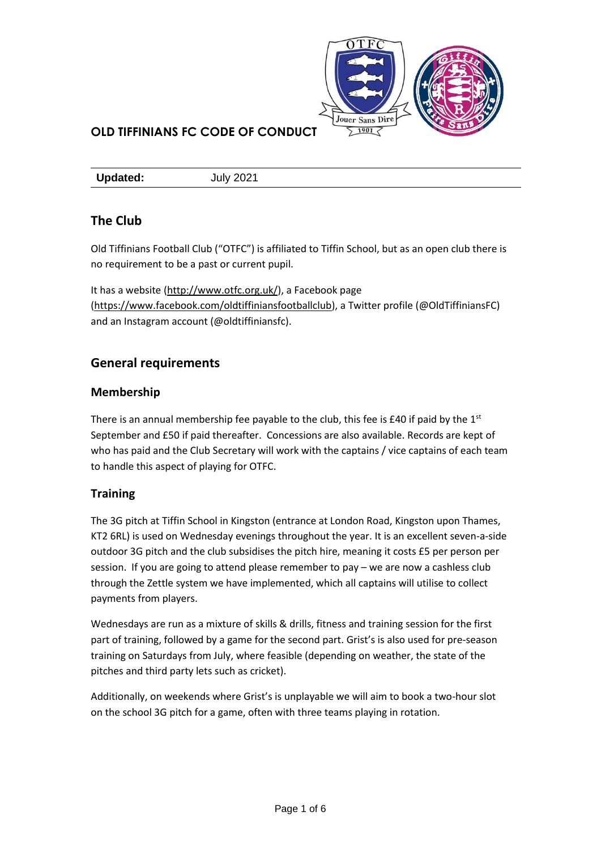

**Updated:** July 2021

# **The Club**

Old Tiffinians Football Club ("OTFC") is affiliated to Tiffin School, but as an open club there is no requirement to be a past or current pupil.

It has a website [\(http://www.otfc.org.uk/\)](http://www.otfc.org.uk/), a Facebook page [\(https://www.facebook.com/oldtiffiniansfootballclub\)](https://www.facebook.com/oldtiffiniansfootballclub), a Twitter profile (@OldTiffiniansFC) and an Instagram account (@oldtiffiniansfc).

# **General requirements**

## **Membership**

There is an annual membership fee payable to the club, this fee is £40 if paid by the  $1<sup>st</sup>$ September and £50 if paid thereafter. Concessions are also available. Records are kept of who has paid and the Club Secretary will work with the captains / vice captains of each team to handle this aspect of playing for OTFC.

## **Training**

The 3G pitch at Tiffin School in Kingston (entrance at London Road, Kingston upon Thames, KT2 6RL) is used on Wednesday evenings throughout the year. It is an excellent seven-a-side outdoor 3G pitch and the club subsidises the pitch hire, meaning it costs £5 per person per session. If you are going to attend please remember to pay – we are now a cashless club through the Zettle system we have implemented, which all captains will utilise to collect payments from players.

Wednesdays are run as a mixture of skills & drills, fitness and training session for the first part of training, followed by a game for the second part. Grist's is also used for pre-season training on Saturdays from July, where feasible (depending on weather, the state of the pitches and third party lets such as cricket).

Additionally, on weekends where Grist's is unplayable we will aim to book a two-hour slot on the school 3G pitch for a game, often with three teams playing in rotation.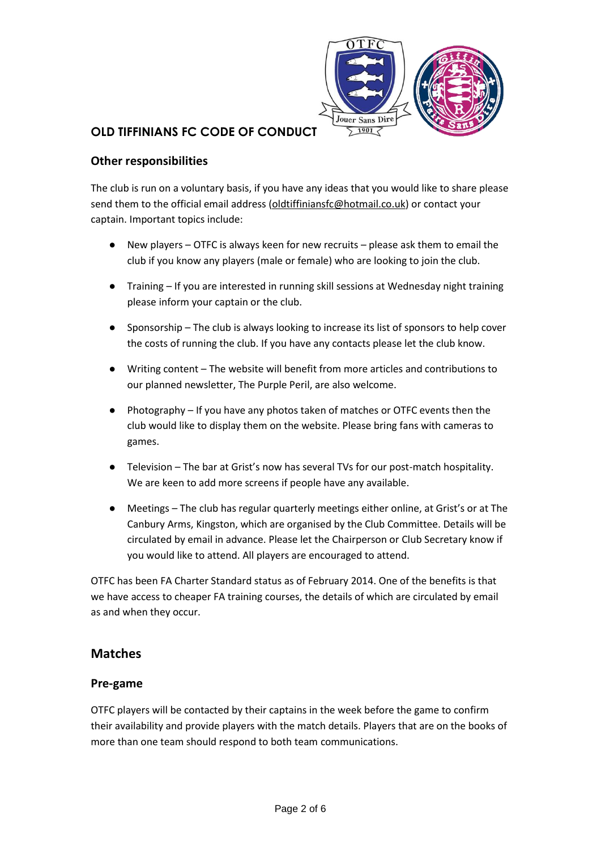

## **Other responsibilities**

The club is run on a voluntary basis, if you have any ideas that you would like to share please send them to the official email address [\(oldtiffiniansfc@hotmail.co.uk\)](mailto:oldtiffiniansfc@hotmail.co.uk) or contact your captain. Important topics include:

- New players OTFC is always keen for new recruits please ask them to email the club if you know any players (male or female) who are looking to join the club.
- Training If you are interested in running skill sessions at Wednesday night training please inform your captain or the club.
- Sponsorship The club is always looking to increase its list of sponsors to help cover the costs of running the club. If you have any contacts please let the club know.
- Writing content The website will benefit from more articles and contributions to our planned newsletter, The Purple Peril, are also welcome.
- Photography If you have any photos taken of matches or OTFC events then the club would like to display them on the website. Please bring fans with cameras to games.
- Television The bar at Grist's now has several TVs for our post-match hospitality. We are keen to add more screens if people have any available.
- Meetings The club has regular quarterly meetings either online, at Grist's or at The Canbury Arms, Kingston, which are organised by the Club Committee. Details will be circulated by email in advance. Please let the Chairperson or Club Secretary know if you would like to attend. All players are encouraged to attend.

OTFC has been FA Charter Standard status as of February 2014. One of the benefits is that we have access to cheaper FA training courses, the details of which are circulated by email as and when they occur.

## **Matches**

### **Pre-game**

OTFC players will be contacted by their captains in the week before the game to confirm their availability and provide players with the match details. Players that are on the books of more than one team should respond to both team communications.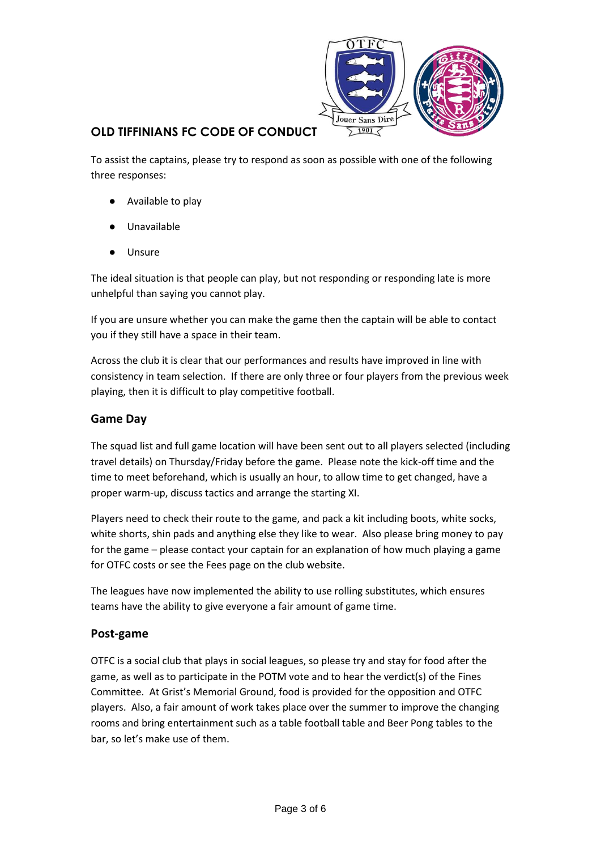

To assist the captains, please try to respond as soon as possible with one of the following three responses:

- Available to play
- Unavailable
- **Unsure**

The ideal situation is that people can play, but not responding or responding late is more unhelpful than saying you cannot play.

If you are unsure whether you can make the game then the captain will be able to contact you if they still have a space in their team.

Across the club it is clear that our performances and results have improved in line with consistency in team selection. If there are only three or four players from the previous week playing, then it is difficult to play competitive football.

## **Game Day**

The squad list and full game location will have been sent out to all players selected (including travel details) on Thursday/Friday before the game. Please note the kick-off time and the time to meet beforehand, which is usually an hour, to allow time to get changed, have a proper warm-up, discuss tactics and arrange the starting XI.

Players need to check their route to the game, and pack a kit including boots, white socks, white shorts, shin pads and anything else they like to wear. Also please bring money to pay for the game – please contact your captain for an explanation of how much playing a game for OTFC costs or see the Fees page on the club website.

The leagues have now implemented the ability to use rolling substitutes, which ensures teams have the ability to give everyone a fair amount of game time.

### **Post-game**

OTFC is a social club that plays in social leagues, so please try and stay for food after the game, as well as to participate in the POTM vote and to hear the verdict(s) of the Fines Committee. At Grist's Memorial Ground, food is provided for the opposition and OTFC players. Also, a fair amount of work takes place over the summer to improve the changing rooms and bring entertainment such as a table football table and Beer Pong tables to the bar, so let's make use of them.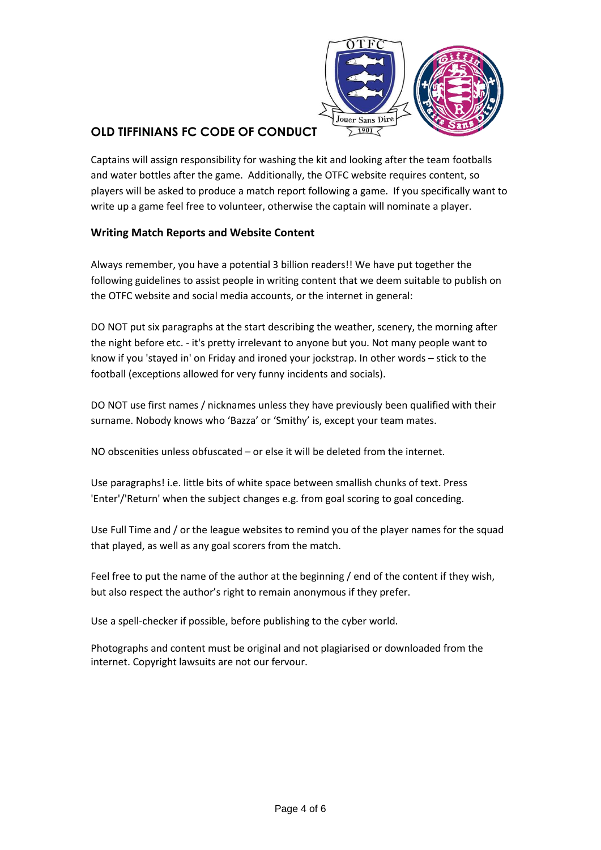

Captains will assign responsibility for washing the kit and looking after the team footballs and water bottles after the game. Additionally, the OTFC website requires content, so players will be asked to produce a match report following a game. If you specifically want to write up a game feel free to volunteer, otherwise the captain will nominate a player.

### **Writing Match Reports and Website Content**

Always remember, you have a potential 3 billion readers!! We have put together the following guidelines to assist people in writing content that we deem suitable to publish on the OTFC website and social media accounts, or the internet in general:

DO NOT put six paragraphs at the start describing the weather, scenery, the morning after the night before etc. - it's pretty irrelevant to anyone but you. Not many people want to know if you 'stayed in' on Friday and ironed your jockstrap. In other words – stick to the football (exceptions allowed for very funny incidents and socials).

DO NOT use first names / nicknames unless they have previously been qualified with their surname. Nobody knows who 'Bazza' or 'Smithy' is, except your team mates.

NO obscenities unless obfuscated – or else it will be deleted from the internet.

Use paragraphs! i.e. little bits of white space between smallish chunks of text. Press 'Enter'/'Return' when the subject changes e.g. from goal scoring to goal conceding.

Use Full Time and / or the league websites to remind you of the player names for the squad that played, as well as any goal scorers from the match.

Feel free to put the name of the author at the beginning / end of the content if they wish, but also respect the author's right to remain anonymous if they prefer.

Use a spell-checker if possible, before publishing to the cyber world.

Photographs and content must be original and not plagiarised or downloaded from the internet. Copyright lawsuits are not our fervour.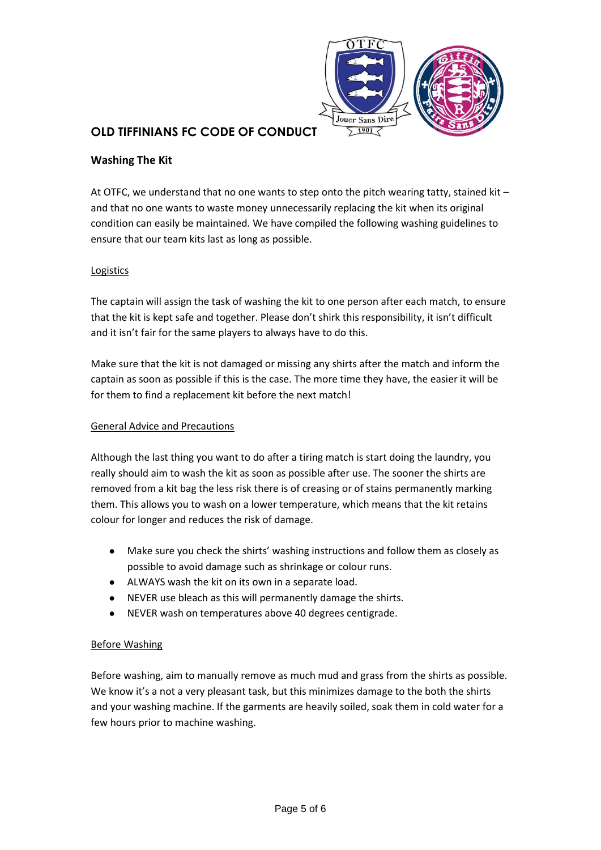

### **Washing The Kit**

At OTFC, we understand that no one wants to step onto the pitch wearing tatty, stained kit – and that no one wants to waste money unnecessarily replacing the kit when its original condition can easily be maintained. We have compiled the following washing guidelines to ensure that our team kits last as long as possible.

### Logistics

The captain will assign the task of washing the kit to one person after each match, to ensure that the kit is kept safe and together. Please don't shirk this responsibility, it isn't difficult and it isn't fair for the same players to always have to do this.

Make sure that the kit is not damaged or missing any shirts after the match and inform the captain as soon as possible if this is the case. The more time they have, the easier it will be for them to find a replacement kit before the next match!

#### General Advice and Precautions

Although the last thing you want to do after a tiring match is start doing the laundry, you really should aim to wash the kit as soon as possible after use. The sooner the shirts are removed from a kit bag the less risk there is of creasing or of stains permanently marking them. This allows you to wash on a lower temperature, which means that the kit retains colour for longer and reduces the risk of damage.

- Make sure you check the shirts' washing instructions and follow them as closely as possible to avoid damage such as shrinkage or colour runs.
- ALWAYS wash the kit on its own in a separate load.
- NEVER use bleach as this will permanently damage the shirts.
- NEVER wash on temperatures above 40 degrees centigrade.

### Before Washing

Before washing, aim to manually remove as much mud and grass from the shirts as possible. We know it's a not a very pleasant task, but this minimizes damage to the both the shirts and your washing machine. If the garments are heavily soiled, soak them in cold water for a few hours prior to machine washing.